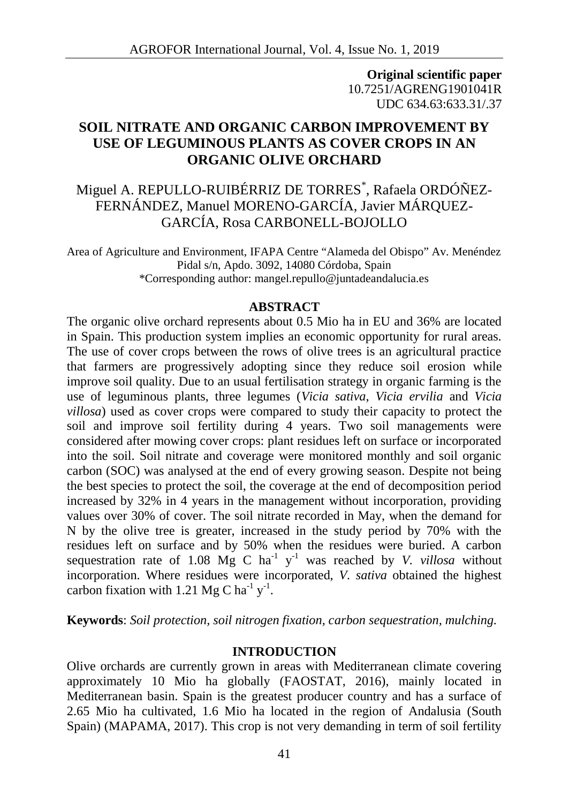**Original scientific paper** 10.7251/AGRENG1901041R UDC 634.63:633.31/.37

# **SOIL NITRATE AND ORGANIC CARBON IMPROVEMENT BY USE OF LEGUMINOUS PLANTS AS COVER CROPS IN AN ORGANIC OLIVE ORCHARD**

# Miguel A. REPULLO-RUIBÉRRIZ DE TORRES\* , Rafaela ORDÓÑEZ- FERNÁNDEZ, Manuel MORENO-GARCÍA, Javier MÁRQUEZ- GARCÍA, Rosa CARBONELL-BOJOLLO

Area of Agriculture and Environment, IFAPA Centre "Alameda del Obispo" Av. Menéndez Pidal s/n, Apdo. 3092, 14080 Córdoba, Spain \*Corresponding author: mangel.repullo@juntadeandalucia.es

### **ABSTRACT**

The organic olive orchard represents about 0.5 Mio ha in EU and 36% are located in Spain. This production system implies an economic opportunity for rural areas. The use of cover crops between the rows of olive trees is an agricultural practice that farmers are progressively adopting since they reduce soil erosion while improve soil quality. Due to an usual fertilisation strategy in organic farming is the use of leguminous plants, three legumes (*Vicia sativa*, *Vicia ervilia* and *Vicia villosa*) used as cover crops were compared to study their capacity to protect the soil and improve soil fertility during 4 years. Two soil managements were considered after mowing cover crops: plant residues left on surface or incorporated into the soil. Soil nitrate and coverage were monitored monthly and soil organic carbon (SOC) was analysed at the end of every growing season. Despite not being the best species to protect the soil, the coverage at the end of decomposition period increased by 32% in 4 years in the management without incorporation, providing values over 30% of cover. The soil nitrate recorded in May, when the demand for N by the olive tree is greater, increased in the study period by 70% with the residues left on surface and by 50% when the residues were buried. A carbon sequestration rate of 1.08 Mg C ha<sup>-1</sup>  $y$ <sup>-1</sup> was reached by *V. villosa* without incorporation. Where residues were incorporated, *V. sativa* obtained the highest carbon fixation with 1.21 Mg C ha<sup>-1</sup> y<sup>-1</sup>.

**Keywords**: *Soil protection, soil nitrogen fixation, carbon sequestration, mulching.*

## **INTRODUCTION**

Olive orchards are currently grown in areas with Mediterranean climate covering approximately 10 Mio ha globally (FAOSTAT, 2016), mainly located in Mediterranean basin. Spain is the greatest producer country and has a surface of 2.65 Mio ha cultivated, 1.6 Mio ha located in the region of Andalusia (South Spain) (MAPAMA, 2017). This crop is not very demanding in term of soil fertility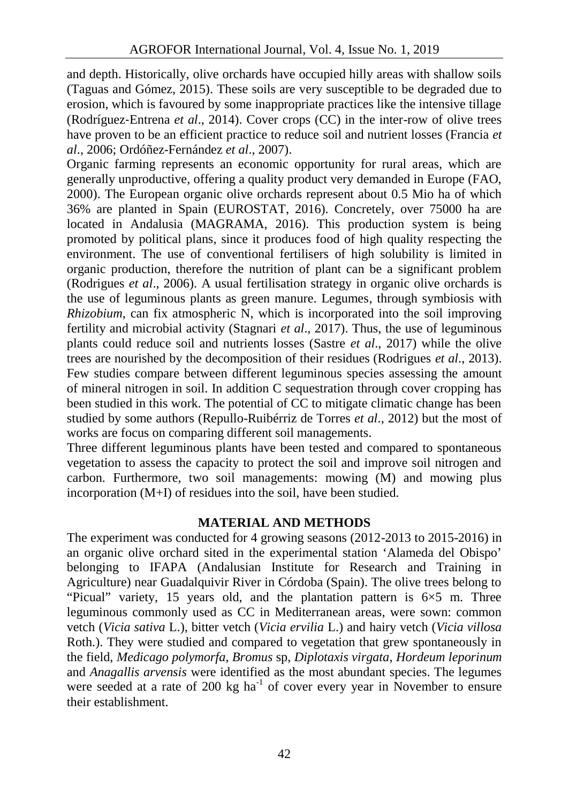and depth. Historically, olive orchards have occupied hilly areas with shallow soils (Taguas and Gómez, 2015). These soils are very susceptible to be degraded due to erosion, which is favoured by some inappropriate practices like the intensive tillage (Rodríguez‐Entrena *et al*., 2014). Cover crops (CC) in the inter-row of olive trees have proven to be an efficient practice to reduce soil and nutrient losses (Francia *et al*., 2006; Ordóñez-Fernández *et al*., 2007).

Organic farming represents an economic opportunity for rural areas, which are generally unproductive, offering a quality product very demanded in Europe (FAO, 2000). The European organic olive orchards represent about 0.5 Mio ha of which 36% are planted in Spain (EUROSTAT, 2016). Concretely, over 75000 ha are located in Andalusia (MAGRAMA, 2016). This production system is being promoted by political plans, since it produces food of high quality respecting the environment. The use of conventional fertilisers of high solubility is limited in organic production, therefore the nutrition of plant can be a significant problem (Rodrigues *et al*., 2006). A usual fertilisation strategy in organic olive orchards is the use of leguminous plants as green manure. Legumes, through symbiosis with *Rhizobium*, can fix atmospheric N, which is incorporated into the soil improving fertility and microbial activity (Stagnari *et al*., 2017). Thus, the use of leguminous plants could reduce soil and nutrients losses (Sastre *et al*., 2017) while the olive trees are nourished by the decomposition of their residues (Rodrigues *et al*., 2013). Few studies compare between different leguminous species assessing the amount of mineral nitrogen in soil. In addition C sequestration through cover cropping has been studied in this work. The potential of CC to mitigate climatic change has been studied by some authors (Repullo-Ruibérriz de Torres *et al*., 2012) but the most of works are focus on comparing different soil managements.

Three different leguminous plants have been tested and compared to spontaneous vegetation to assess the capacity to protect the soil and improve soil nitrogen and carbon. Furthermore, two soil managements: mowing (M) and mowing plus incorporation (M+I) of residues into the soil, have been studied.

## **MATERIAL AND METHODS**

The experiment was conducted for 4 growing seasons (2012-2013 to 2015-2016) in an organic olive orchard sited in the experimental station 'Alameda del Obispo' belonging to IFAPA (Andalusian Institute for Research and Training in Agriculture) near Guadalquivir River in Córdoba (Spain). The olive trees belong to "Picual" variety, 15 years old, and the plantation pattern is  $6\times5$  m. Three leguminous commonly used as CC in Mediterranean areas, were sown: common vetch (*Vicia sativa* L.), bitter vetch (*Vicia ervilia* L.) and hairy vetch (*Vicia villosa* Roth.). They were studied and compared to vegetation that grew spontaneously in the field, *Medicago polymorfa*, *Bromus* sp, *Diplotaxis virgata*, *Hordeum leporinum* and *Anagallis arvensis* were identified as the most abundant species. The legumes were seeded at a rate of  $200 \text{ kg}$  ha<sup>-1</sup> of cover every year in November to ensure their establishment.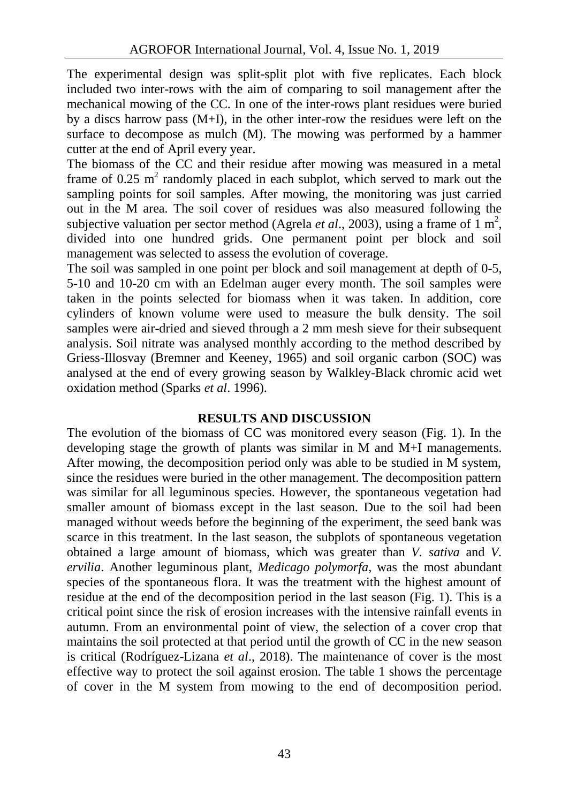The experimental design was split-split plot with five replicates. Each block included two inter-rows with the aim of comparing to soil management after the mechanical mowing of the CC. In one of the inter-rows plant residues were buried by a discs harrow pass  $(M+I)$ , in the other inter-row the residues were left on the surface to decompose as mulch (M). The mowing was performed by a hammer cutter at the end of April every year.

The biomass of the CC and their residue after mowing was measured in a metal frame of 0.25  $m^2$  randomly placed in each subplot, which served to mark out the sampling points for soil samples. After mowing, the monitoring was just carried out in the M area. The soil cover of residues was also measured following the subjective valuation per sector method (Agrela *et al.*, 2003), using a frame of 1  $m^2$ , divided into one hundred grids. One permanent point per block and soil management was selected to assess the evolution of coverage.

The soil was sampled in one point per block and soil management at depth of 0-5, 5-10 and 10-20 cm with an Edelman auger every month. The soil samples were taken in the points selected for biomass when it was taken. In addition, core cylinders of known volume were used to measure the bulk density. The soil samples were air-dried and sieved through a 2 mm mesh sieve for their subsequent analysis. Soil nitrate was analysed monthly according to the method described by Griess-Illosvay (Bremner and Keeney, 1965) and soil organic carbon (SOC) was analysed at the end of every growing season by Walkley-Black chromic acid wet oxidation method (Sparks *et al*. 1996).

## **RESULTS AND DISCUSSION**

The evolution of the biomass of CC was monitored every season (Fig. 1). In the developing stage the growth of plants was similar in M and M+I managements. After mowing, the decomposition period only was able to be studied in M system, since the residues were buried in the other management. The decomposition pattern was similar for all leguminous species. However, the spontaneous vegetation had smaller amount of biomass except in the last season. Due to the soil had been managed without weeds before the beginning of the experiment, the seed bank was scarce in this treatment. In the last season, the subplots of spontaneous vegetation obtained a large amount of biomass, which was greater than *V. sativa* and *V. ervilia*. Another leguminous plant, *Medicago polymorfa*, was the most abundant species of the spontaneous flora. It was the treatment with the highest amount of residue at the end of the decomposition period in the last season (Fig. 1). This is a critical point since the risk of erosion increases with the intensive rainfall events in autumn. From an environmental point of view, the selection of a cover crop that maintains the soil protected at that period until the growth of CC in the new season is critical (Rodríguez-Lizana *et al*., 2018). The maintenance of cover is the most effective way to protect the soil against erosion. The table 1 shows the percentage of cover in the M system from mowing to the end of decomposition period.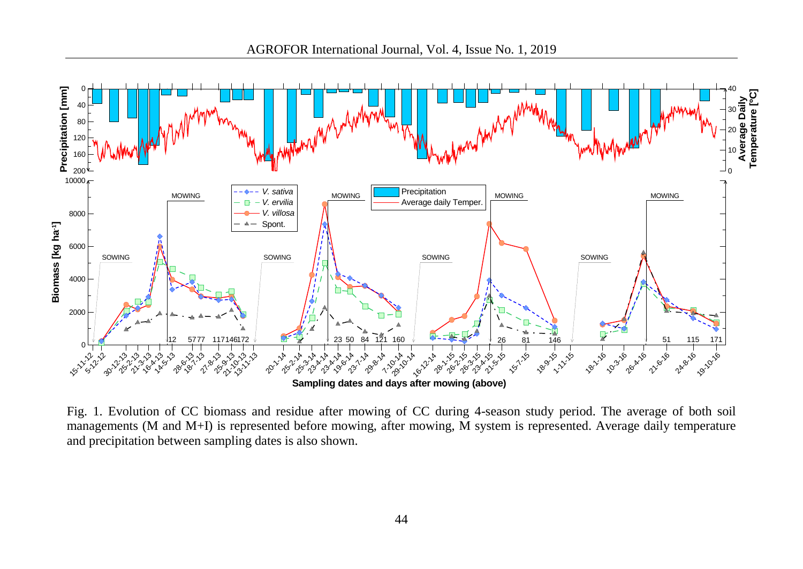

Fig. 1. Evolution of CC biomass and residue after mowing of CC during 4-season study period. The average of both soil managements (M and M+I) is represented before mowing, after mowing, M system is represented. Average daily temperature and precipitation between sampling dates is also shown.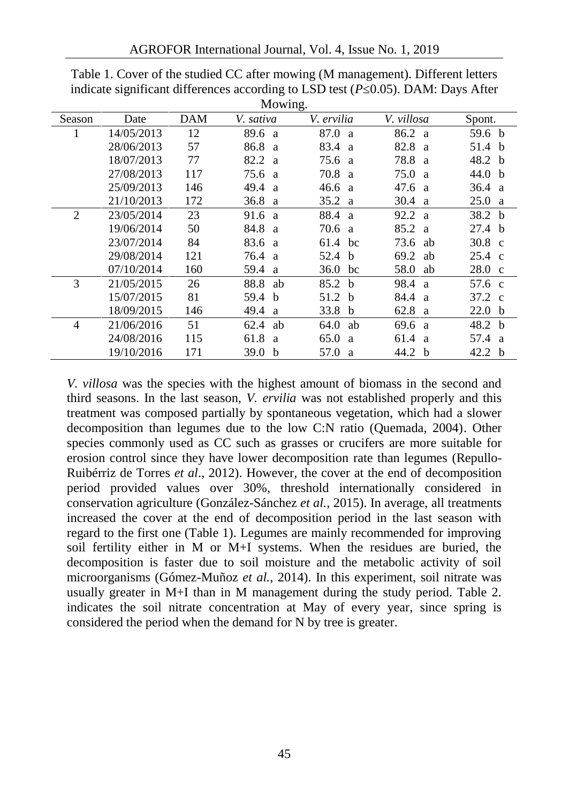|        |            |     | Mowing.              |                      |                      |                   |
|--------|------------|-----|----------------------|----------------------|----------------------|-------------------|
| Season | Date       | DAM | V. sativa            | V. ervilia           | V. villosa           | Spont.            |
|        | 14/05/2013 | 12  | 89.6 a               | 87.0<br>a.           | 86.2 a               | 59.6 b            |
|        | 28/06/2013 | 57  | 86.8 a               | 83.4<br><sub>a</sub> | 82.8<br>- a          | 51.4 b            |
|        | 18/07/2013 | 77  | 82.2<br><sub>a</sub> | 75.6<br>a            | 78.8<br>a            | 48.2 b            |
|        | 27/08/2013 | 117 | 75.6 a               | 70.8<br>a            | 75.0<br>a            | 44.0 $\,$ b       |
|        | 25/09/2013 | 146 | 49.4<br>a            | 46.6<br>a            | 47.6<br><sub>a</sub> | 36.4 a            |
|        | 21/10/2013 | 172 | 36.8<br>a            | 35.2<br>a            | 30.4<br>a            | 25.0<br>a -       |
| 2      | 23/05/2014 | 23  | 91.6 a               | 88.4<br>a            | 92.2<br>- a          | 38.2 <sub>b</sub> |
|        | 19/06/2014 | 50  | 84.8<br><sub>a</sub> | 70.6<br>a            | 85.2<br><sub>a</sub> | 27.4 <sub>b</sub> |
|        | 23/07/2014 | 84  | 83.6 a               | 61.4<br>bc           | 73.6<br>ab           | $30.8 \text{ c}$  |
|        | 29/08/2014 | 121 | 76.4<br>a.           | 52.4<br>b            | 69.2<br>ab           | $25.4 \text{ c}$  |
|        | 07/10/2014 | 160 | 59.4<br>a            | 36.0<br>bc           | 58.0<br>ab           | $28.0\text{ c}$   |
| 3      | 21/05/2015 | 26  | 88.8<br>ab           | 85.2<br>- b          | 98.4<br>- a          | 57.6 c            |
|        | 15/07/2015 | 81  | 59.4<br>$\mathbf b$  | 51.2<br>-b           | 84.4<br>- a          | 37.2 c            |
|        | 18/09/2015 | 146 | 49.4<br>a            | 33.8<br>b            | 62.8<br>a            | 22.0<br>b         |
| 4      | 21/06/2016 | 51  | 62.4<br>ab           | 64.0<br>ab           | 69.6<br><sup>2</sup> | 48.2 b            |
|        | 24/08/2016 | 115 | 61.8<br>a            | 65.0<br>a            | 61.4<br><sup>2</sup> | 57.4 a            |
|        | 19/10/2016 | 171 | 39.0<br>b            | 57.0<br>a            | 44.2<br>b            | 42.2 <sub>b</sub> |

Table 1. Cover of the studied CC after mowing (M management). Different letters indicate significant differences according to LSD test  $(P_0.05)$ . DAM: Days After

*V. villosa* was the species with the highest amount of biomass in the second and third seasons. In the last season, *V. ervilia* was not established properly and this treatment was composed partially by spontaneous vegetation, which had a slower decomposition than legumes due to the low C:N ratio (Quemada, 2004). Other species commonly used as CC such as grasses or crucifers are more suitable for erosion control since they have lower decomposition rate than legumes (Repullo- Ruibérriz de Torres *et al*., 2012). However, the cover at the end of decomposition period provided values over 30%, threshold internationally considered in conservation agriculture (González-Sánchez *et al.*, 2015). In average, all treatments increased the cover at the end of decomposition period in the last season with regard to the first one (Table 1). Legumes are mainly recommended for improving soil fertility either in M or M+I systems. When the residues are buried, the decomposition is faster due to soil moisture and the metabolic activity of soil microorganisms (Gómez-Muñoz *et al.*, 2014). In this experiment, soil nitrate was usually greater in M+I than in M management during the study period. Table 2. indicates the soil nitrate concentration at May of every year, since spring is considered the period when the demand for N by tree is greater.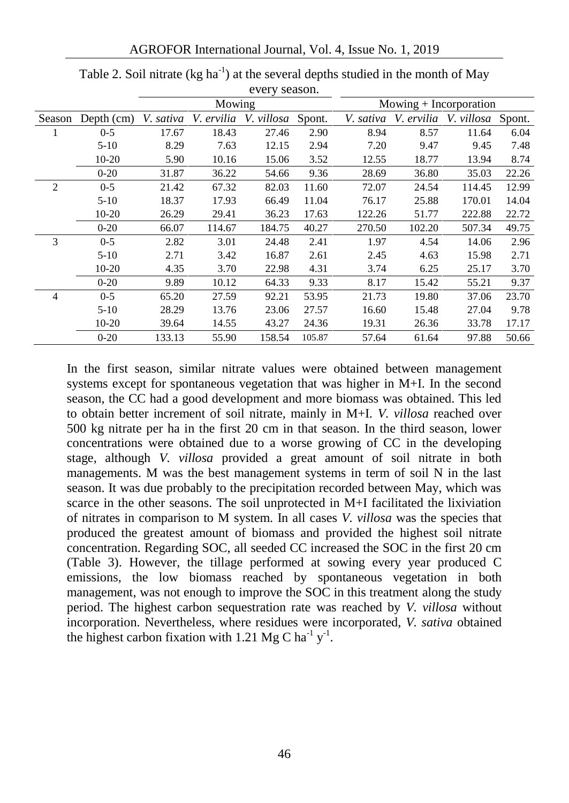AGROFOR International Journal, Vol. 4, Issue No. 1, 2019

|        |            |           |            | CVCLY SCASOII. |        |           |            |                          |       |
|--------|------------|-----------|------------|----------------|--------|-----------|------------|--------------------------|-------|
|        |            |           | Mowing     |                |        |           |            | $Mowing + Incorporation$ |       |
| Season | Depth (cm) | V. sativa | V. ervilia | V. villosa     | Spont. | V. sativa | V. ervilia | V. villosa Spont.        |       |
|        | $0 - 5$    | 17.67     | 18.43      | 27.46          | 2.90   | 8.94      | 8.57       | 11.64                    | 6.04  |
|        | $5-10$     | 8.29      | 7.63       | 12.15          | 2.94   | 7.20      | 9.47       | 9.45                     | 7.48  |
|        | $10-20$    | 5.90      | 10.16      | 15.06          | 3.52   | 12.55     | 18.77      | 13.94                    | 8.74  |
|        | $0 - 20$   | 31.87     | 36.22      | 54.66          | 9.36   | 28.69     | 36.80      | 35.03                    | 22.26 |
| 2      | $0 - 5$    | 21.42     | 67.32      | 82.03          | 11.60  | 72.07     | 24.54      | 114.45                   | 12.99 |
|        | $5-10$     | 18.37     | 17.93      | 66.49          | 11.04  | 76.17     | 25.88      | 170.01                   | 14.04 |
|        | $10-20$    | 26.29     | 29.41      | 36.23          | 17.63  | 122.26    | 51.77      | 222.88                   | 22.72 |
|        | $0 - 20$   | 66.07     | 114.67     | 184.75         | 40.27  | 270.50    | 102.20     | 507.34                   | 49.75 |
| 3      | $0 - 5$    | 2.82      | 3.01       | 24.48          | 2.41   | 1.97      | 4.54       | 14.06                    | 2.96  |
|        | $5-10$     | 2.71      | 3.42       | 16.87          | 2.61   | 2.45      | 4.63       | 15.98                    | 2.71  |
|        | $10-20$    | 4.35      | 3.70       | 22.98          | 4.31   | 3.74      | 6.25       | 25.17                    | 3.70  |
|        | $0 - 20$   | 9.89      | 10.12      | 64.33          | 9.33   | 8.17      | 15.42      | 55.21                    | 9.37  |
| 4      | $0 - 5$    | 65.20     | 27.59      | 92.21          | 53.95  | 21.73     | 19.80      | 37.06                    | 23.70 |
|        | $5-10$     | 28.29     | 13.76      | 23.06          | 27.57  | 16.60     | 15.48      | 27.04                    | 9.78  |
|        | $10-20$    | 39.64     | 14.55      | 43.27          | 24.36  | 19.31     | 26.36      | 33.78                    | 17.17 |
|        | $0-20$     | 133.13    | 55.90      | 158.54         | 105.87 | 57.64     | 61.64      | 97.88                    | 50.66 |

Table 2. Soil nitrate (kg ha<sup>-1</sup>) at the several depths studied in the month of May every season.

In the first season, similar nitrate values were obtained between management systems except for spontaneous vegetation that was higher in M+I. In the second season, the CC had a good development and more biomass was obtained. This led to obtain better increment of soil nitrate, mainly in M+I. *V. villosa* reached over 500 kg nitrate per ha in the first 20 cm in that season. In the third season, lower concentrations were obtained due to a worse growing of CC in the developing stage, although *V. villosa* provided a great amount of soil nitrate in both managements. M was the best management systems in term of soil N in the last season. It was due probably to the precipitation recorded between May, which was scarce in the other seasons. The soil unprotected in M+I facilitated the lixiviation of nitrates in comparison to M system. In all cases *V. villosa* was the species that produced the greatest amount of biomass and provided the highest soil nitrate concentration. Regarding SOC, all seeded CC increased the SOC in the first 20 cm (Table 3). However, the tillage performed at sowing every year produced C emissions, the low biomass reached by spontaneous vegetation in both management, was not enough to improve the SOC in this treatment along the study period. The highest carbon sequestration rate was reached by *V. villosa* without incorporation. Nevertheless, where residues were incorporated, *V. sativa* obtained the highest carbon fixation with 1.21 Mg C ha<sup>-1</sup> y<sup>-1</sup>.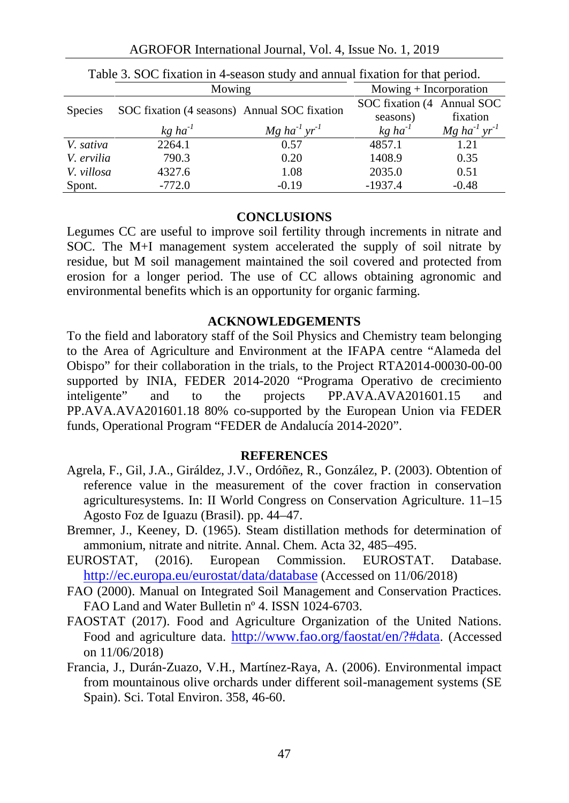AGROFOR International Journal, Vol. 4, Issue No. 1, 2019

| Table 5. SOC fixation in 4-season study and annual fixation for that period. |                                              |                                        |                            |                                        |  |  |
|------------------------------------------------------------------------------|----------------------------------------------|----------------------------------------|----------------------------|----------------------------------------|--|--|
| Mowing                                                                       |                                              |                                        | $Mowing + Incorporation$   |                                        |  |  |
| Species                                                                      | SOC fixation (4 seasons) Annual SOC fixation |                                        | SOC fixation (4 Annual SOC |                                        |  |  |
|                                                                              |                                              |                                        | seasons)                   | fixation                               |  |  |
|                                                                              | $kg$ ha <sup>-1</sup>                        | $Mg$ ha <sup>-1</sup> yr <sup>-1</sup> | $kg$ ha <sup>-1</sup>      | $Mg$ ha <sup>-1</sup> yr <sup>-1</sup> |  |  |
| V. sativa                                                                    | 2264.1                                       | 0.57                                   | 4857.1                     | 1.21                                   |  |  |
| V. ervilia                                                                   | 790.3                                        | 0.20                                   | 1408.9                     | 0.35                                   |  |  |
| V. villosa                                                                   | 4327.6                                       | 1.08                                   | 2035.0                     | 0.51                                   |  |  |
| Spont.                                                                       | $-772.0$                                     | $-0.19$                                | $-1937.4$                  | $-0.48$                                |  |  |

Table 3. SOC fixation in 4-season study and annual fixation for that period.

### **CONCLUSIONS**

Legumes CC are useful to improve soil fertility through increments in nitrate and SOC. The M+I management system accelerated the supply of soil nitrate by residue, but M soil management maintained the soil covered and protected from erosion for a longer period. The use of CC allows obtaining agronomic and environmental benefits which is an opportunity for organic farming.

### **ACKNOWLEDGEMENTS**

To the field and laboratory staff of the Soil Physics and Chemistry team belonging to the Area of Agriculture and Environment at the IFAPA centre "Alameda del Obispo" for their collaboration in the trials, to the Project RTA2014-00030-00-00 supported by INIA, FEDER 2014-2020 "Programa Operativo de crecimiento inteligente" and to the projects PP.AVA.AVA201601.15 and PP.AVA.AVA201601.18 80% co-supported by the European Union via FEDER funds, Operational Program "FEDER de Andalucía 2014-2020".

#### **REFERENCES**

- Agrela, F., Gil, J.A., Giráldez, J.V., Ordóñez, R., González, P. (2003). Obtention of reference value in the measurement of the cover fraction in conservation agriculturesystems. In: II World Congress on Conservation Agriculture. 11–15 Agosto Foz de Iguazu (Brasil). pp. 44–47.
- Bremner, J., Keeney, D. (1965). Steam distillation methods for determination of ammonium, nitrate and nitrite. Annal. Chem. Acta 32, 485–495.
- EUROSTAT, (2016). European Commission. EUROSTAT. Database. http://ec.europa.eu/eurostat/data/database (Accessed on 11/06/2018)
- FAO (2000). Manual on Integrated Soil Management and Conservation Practices. FAO Land and Water Bulletin nº 4. ISSN 1024-6703.
- FAOSTAT (2017). Food and Agriculture Organization of the United Nations. Food and agriculture data. http://www.fao.org/faostat/en/?#data. (Accessed on 11/06/2018)
- Francia, J., Durán-Zuazo, V.H., Martínez-Raya, A. (2006). Environmental impact from mountainous olive orchards under different soil-management systems (SE Spain). Sci. Total Environ. 358, 46-60.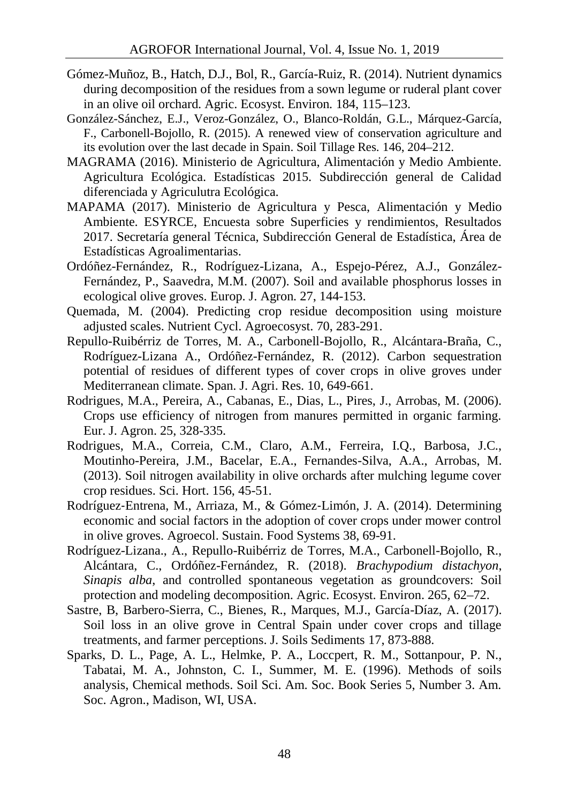- Gómez-Muñoz, B., Hatch, D.J., Bol, R., García-Ruiz, R. (2014). Nutrient dynamics during decomposition of the residues from a sown legume or ruderal plant cover in an olive oil orchard. Agric. Ecosyst. Environ*.* 184, 115–123.
- González-Sánchez, E.J., Veroz-González, O., Blanco-Roldán, G.L., Márquez-García, F., Carbonell-Bojollo, R. (2015). A renewed view of conservation agriculture and its evolution over the last decade in Spain. Soil Tillage Res*.* 146, 204–212.
- MAGRAMA (2016). Ministerio de Agricultura, Alimentación y Medio Ambiente. Agricultura Ecológica. Estadísticas 2015. Subdirección general de Calidad diferenciada y Agriculutra Ecológica.
- MAPAMA (2017). Ministerio de Agricultura y Pesca, Alimentación y Medio Ambiente. ESYRCE, Encuesta sobre Superficies y rendimientos, Resultados 2017. Secretaría general Técnica, Subdirección General de Estadística, Área de Estadísticas Agroalimentarias.
- Ordóñez-Fernández, R., Rodríguez-Lizana, A., Espejo-Pérez, A.J., González- Fernández, P., Saavedra, M.M. (2007). Soil and available phosphorus losses in ecological olive groves*.* Europ. J. Agron*.* 27, 144-153.
- Quemada, M. (2004). Predicting crop residue decomposition using moisture adjusted scales. Nutrient Cycl. Agroecosyst. 70, 283-291.
- Repullo-Ruibérriz de Torres, M. A., Carbonell-Bojollo, R., Alcántara-Braña, C., Rodríguez-Lizana A., Ordóñez-Fernández, R. (2012). Carbon sequestration potential of residues of different types of cover crops in olive groves under Mediterranean climate. Span. J. Agri. Res. 10, 649-661.
- Rodrigues, M.A., Pereira, A., Cabanas, E., Dias, L., Pires, J., Arrobas, M. (2006). Crops use efficiency of nitrogen from manures permitted in organic farming. Eur. J. Agron. 25, 328-335.
- Rodrigues, M.A., Correia, C.M., Claro, A.M., Ferreira, I.Q., Barbosa, J.C., Moutinho-Pereira, J.M., Bacelar, E.A., Fernandes-Silva, A.A., Arrobas, M. (2013). Soil nitrogen availability in olive orchards after mulching legume cover crop residues. Sci. Hort. 156, 45-51.
- Rodríguez‐Entrena, M., Arriaza, M., & Gómez‐Limón, J. A. (2014). Determining economic and social factors in the adoption of cover crops under mower control in olive groves. Agroecol. Sustain. Food Systems 38, 69-91.
- Rodríguez-Lizana., A., Repullo-Ruibérriz de Torres, M.A., Carbonell-Bojollo, R., Alcántara, C., Ordóñez-Fernández, R. (2018). *Brachypodium distachyon*, *Sinapis alba*, and controlled spontaneous vegetation as groundcovers: Soil protection and modeling decomposition. Agric. Ecosyst. Environ. 265, 62–72.
- Sastre, B, Barbero-Sierra, C., Bienes, R., Marques, M.J., García-Díaz, A. (2017). Soil loss in an olive grove in Central Spain under cover crops and tillage treatments, and farmer perceptions. J. Soils Sediments 17, 873-888.
- Sparks, D. L., Page, A. L., Helmke, P. A., Loccpert, R. M., Sottanpour, P. N., Tabatai, M. A., Johnston, C. I., Summer, M. E. (1996). Methods of soils analysis, Chemical methods. Soil Sci. Am. Soc. Book Series 5, Number 3. Am. Soc. Agron., Madison, WI, USA.